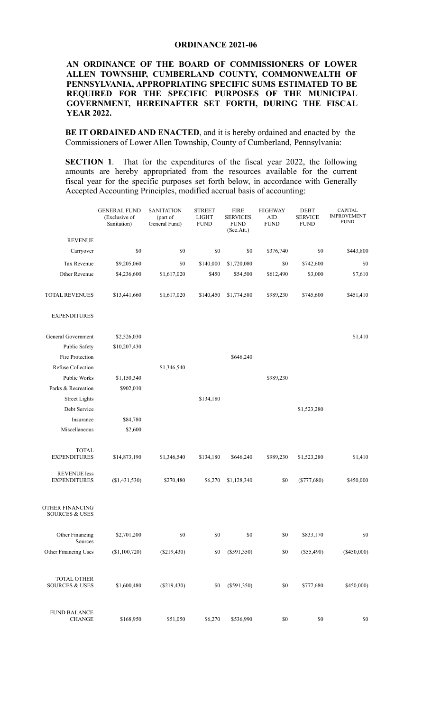## ORDINANCE 2021-06

## AN ORDINANCE OF THE BOARD OF COMMISSIONERS OF LOWER ALLEN TOWNSHIP, CUMBERLAND COUNTY, COMMONWEALTH OF PENNSYLVANIA, APPROPRIATING SPECIFIC SUMS ESTIMATED TO BE REQUIRED FOR THE SPECIFIC PURPOSES OF THE MUNICIPAL GOVERNMENT, HEREINAFTER SET FORTH, DURING THE FISCAL YEAR 2022.

BE IT ORDAINED AND ENACTED, and it is hereby ordained and enacted by the Commissioners of Lower Allen Township, County of Cumberland, Pennsylvania:

 SECTION 1. That for the expenditures of the fiscal year 2022, the following amounts are hereby appropriated from the resources available for the current fiscal year for the specific purposes set forth below, in accordance with Generally Accepted Accounting Principles, modified accrual basis of accounting:

|                                                 | <b>GENERAL FUND</b><br>(Exclusive of<br>Sanitation) | <b>SANITATION</b><br>(part of<br>General Fund) | <b>STREET</b><br><b>LIGHT</b><br><b>FUND</b> | <b>FIRE</b><br><b>SERVICES</b><br><b>FUND</b><br>(See.Att.) | <b>HIGHWAY</b><br>AID<br><b>FUND</b> | <b>DEBT</b><br><b>SERVICE</b><br><b>FUND</b> | CAPITAL<br><b>IMPROVEMENT</b><br><b>FUND</b> |
|-------------------------------------------------|-----------------------------------------------------|------------------------------------------------|----------------------------------------------|-------------------------------------------------------------|--------------------------------------|----------------------------------------------|----------------------------------------------|
| <b>REVENUE</b>                                  |                                                     |                                                |                                              |                                                             |                                      |                                              |                                              |
| Carryover                                       | \$0                                                 | $\$0$                                          | \$0                                          | \$0                                                         | \$376,740                            | \$0                                          | \$443,800                                    |
| Tax Revenue                                     | \$9,205,060                                         | \$0                                            | \$140,000                                    | \$1,720,080                                                 | \$0                                  | \$742,600                                    | \$0                                          |
| Other Revenue                                   | \$4,236,600                                         | \$1,617,020                                    | \$450                                        | \$54,500                                                    | \$612,490                            | \$3,000                                      | \$7,610                                      |
| <b>TOTAL REVENUES</b>                           | \$13,441,660                                        | \$1,617,020                                    | \$140,450                                    | \$1,774,580                                                 | \$989,230                            | \$745,600                                    | \$451,410                                    |
| <b>EXPENDITURES</b>                             |                                                     |                                                |                                              |                                                             |                                      |                                              |                                              |
| General Government                              | \$2,526,030                                         |                                                |                                              |                                                             |                                      |                                              | \$1,410                                      |
| Public Safety                                   | \$10,207,430                                        |                                                |                                              |                                                             |                                      |                                              |                                              |
| Fire Protection                                 |                                                     |                                                |                                              | \$646,240                                                   |                                      |                                              |                                              |
| Refuse Collection                               |                                                     | \$1,346,540                                    |                                              |                                                             |                                      |                                              |                                              |
| Public Works                                    | \$1,150,340                                         |                                                |                                              |                                                             | \$989,230                            |                                              |                                              |
| Parks & Recreation                              | \$902,010                                           |                                                |                                              |                                                             |                                      |                                              |                                              |
| <b>Street Lights</b>                            |                                                     |                                                | \$134,180                                    |                                                             |                                      |                                              |                                              |
| Debt Service                                    |                                                     |                                                |                                              |                                                             |                                      | \$1,523,280                                  |                                              |
| Insurance                                       | \$84,780                                            |                                                |                                              |                                                             |                                      |                                              |                                              |
| Miscellaneous                                   | \$2,600                                             |                                                |                                              |                                                             |                                      |                                              |                                              |
| <b>TOTAL</b><br><b>EXPENDITURES</b>             | \$14,873,190                                        | \$1,346,540                                    | \$134,180                                    | \$646,240                                                   | \$989,230                            | \$1,523,280                                  | \$1,410                                      |
| <b>REVENUE</b> less<br><b>EXPENDITURES</b>      | (\$1,431,530)                                       | \$270,480                                      | \$6,270                                      | \$1,128,340                                                 | \$0                                  | $(\$777,680)$                                | \$450,000                                    |
| OTHER FINANCING<br><b>SOURCES &amp; USES</b>    |                                                     |                                                |                                              |                                                             |                                      |                                              |                                              |
| Other Financing<br>Sources                      | \$2,701,200                                         | $\$0$                                          | $\$0$                                        | $\$0$                                                       | $\$0$                                | \$833,170                                    | \$0                                          |
| Other Financing Uses                            | (\$1,100,720)                                       | $(\$219,430)$                                  | \$0                                          | $(\$591,350)$                                               | $\$0$                                | $(\$55,490)$                                 | $(\$450,000)$                                |
| <b>TOTAL OTHER</b><br><b>SOURCES &amp; USES</b> | \$1,600,480                                         | $(\$219,430)$                                  | \$0                                          | $(\$591,350)$                                               | $\$0$                                | \$777,680                                    | \$450,000)                                   |
| <b>FUND BALANCE</b><br><b>CHANGE</b>            | \$168,950                                           | \$51,050                                       | \$6,270                                      | \$536,990                                                   | \$0                                  | $\$0$                                        | \$0                                          |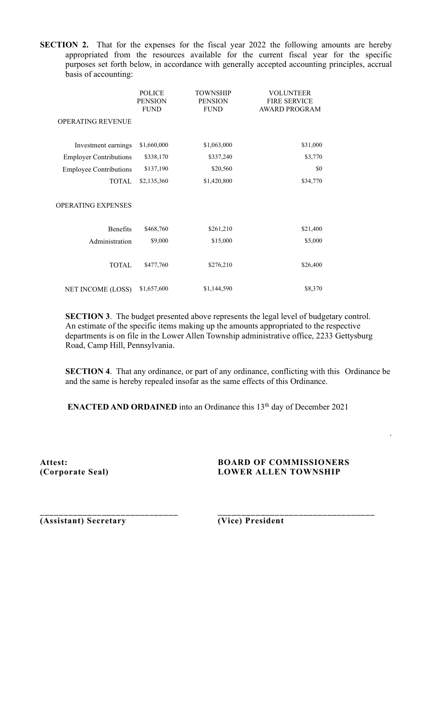SECTION 2. That for the expenses for the fiscal year 2022 the following amounts are hereby appropriated from the resources available for the current fiscal year for the specific purposes set forth below, in accordance with generally accepted accounting principles, accrual basis of accounting:

|                               | <b>POLICE</b><br><b>PENSION</b> | TOWNSHIP<br><b>PENSION</b> | <b>VOLUNTEER</b><br><b>FIRE SERVICE</b> |
|-------------------------------|---------------------------------|----------------------------|-----------------------------------------|
|                               | <b>FUND</b>                     | <b>FUND</b>                | <b>AWARD PROGRAM</b>                    |
| <b>OPERATING REVENUE</b>      |                                 |                            |                                         |
|                               |                                 |                            |                                         |
| Investment earnings           | \$1,660,000                     | \$1,063,000                | \$31,000                                |
| <b>Employer Contributions</b> | \$338,170                       | \$337,240                  | \$3,770                                 |
| <b>Employee Contributions</b> | \$137,190                       | \$20,560                   | \$0                                     |
| <b>TOTAL</b>                  | \$2,135,360                     | \$1,420,800                | \$34,770                                |
|                               |                                 |                            |                                         |
| <b>OPERATING EXPENSES</b>     |                                 |                            |                                         |
|                               |                                 |                            |                                         |
| <b>Benefits</b>               | \$468,760                       | \$261,210                  | \$21,400                                |
| Administration                | \$9,000                         | \$15,000                   | \$5,000                                 |
|                               |                                 |                            |                                         |
| <b>TOTAL</b>                  | \$477,760                       | \$276,210                  | \$26,400                                |
|                               |                                 |                            |                                         |
| <b>NET INCOME (LOSS)</b>      | \$1,657,600                     | \$1,144,590                | \$8,370                                 |

SECTION 3. The budget presented above represents the legal level of budgetary control. An estimate of the specific items making up the amounts appropriated to the respective departments is on file in the Lower Allen Township administrative office, 2233 Gettysburg Road, Camp Hill, Pennsylvania.

SECTION 4. That any ordinance, or part of any ordinance, conflicting with this Ordinance be and the same is hereby repealed insofar as the same effects of this Ordinance.

**ENACTED AND ORDAINED** into an Ordinance this  $13<sup>th</sup>$  day of December 2021

 $\mathcal{L}_\text{max} = \frac{1}{2} \sum_{i=1}^n \mathcal{L}_\text{max}(\mathbf{x}_i - \mathbf{y}_i)$ 

## Attest: BOARD OF COMMISSIONERS (Corporate Seal) LOWER ALLEN TOWNSHIP

.

(Assistant) Secretary (Vice) President